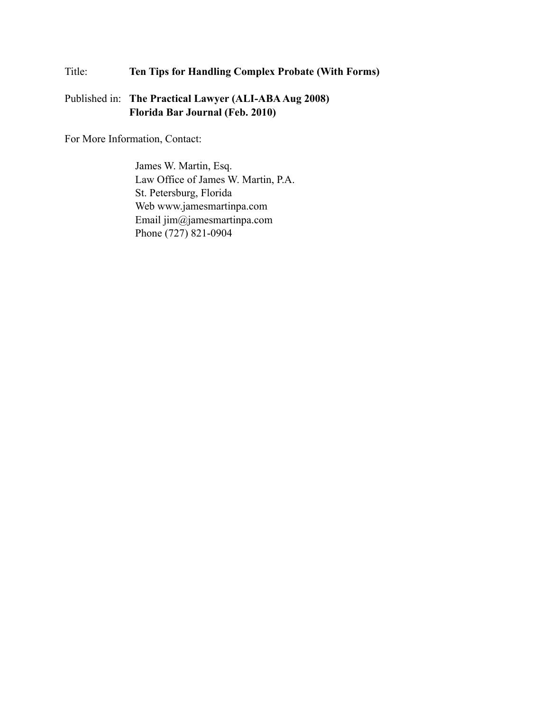# Title: **Ten Tips for Handling Complex Probate (With Forms)**

## Published in: **The Practical Lawyer (ALI-ABA Aug 2008) Florida Bar Journal (Feb. 2010)**

For More Information, Contact:

James W. Martin, Esq. Law Office of James W. Martin, P.A. St. Petersburg, Florida Web www.jamesmartinpa.com Email jim@jamesmartinpa.com Phone (727) 821-0904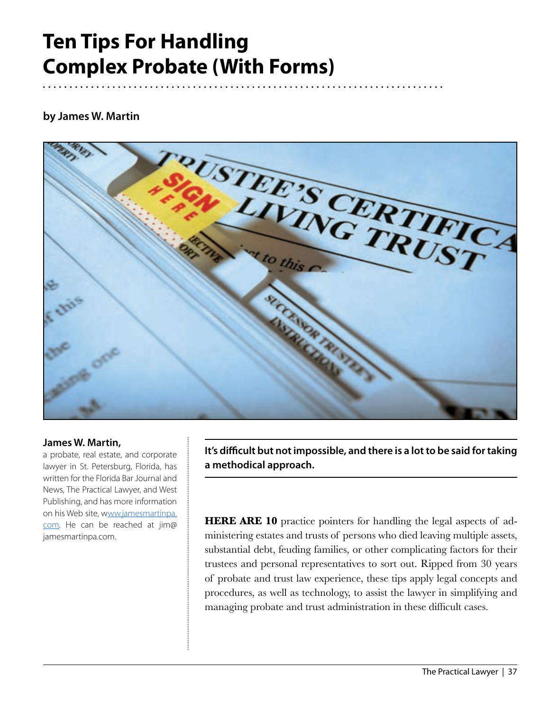# **Ten Tips For Handling Complex Probate (With Forms)**

# **by James W. Martin**



## **James W. Martin,**

a probate, real estate, and corporate lawyer in St. Petersburg, Florida, has written for the Florida Bar Journal and News, The Practical Lawyer, and West Publishing, and has more information on his Web site, w[ww.jamesmartinpa.](http://www.jamesmartinpa.com) [com.](http://www.jamesmartinpa.com) He can be reached at jim@ jamesmartinpa.com.

**It's difficult but not impossible, and there is a lot to be said for taking a methodical approach.**

**HERE ARE 10** practice pointers for handling the legal aspects of administering estates and trusts of persons who died leaving multiple assets, substantial debt, feuding families, or other complicating factors for their trustees and personal representatives to sort out. Ripped from 30 years of probate and trust law experience, these tips apply legal concepts and procedures, as well as technology, to assist the lawyer in simplifying and managing probate and trust administration in these difficult cases.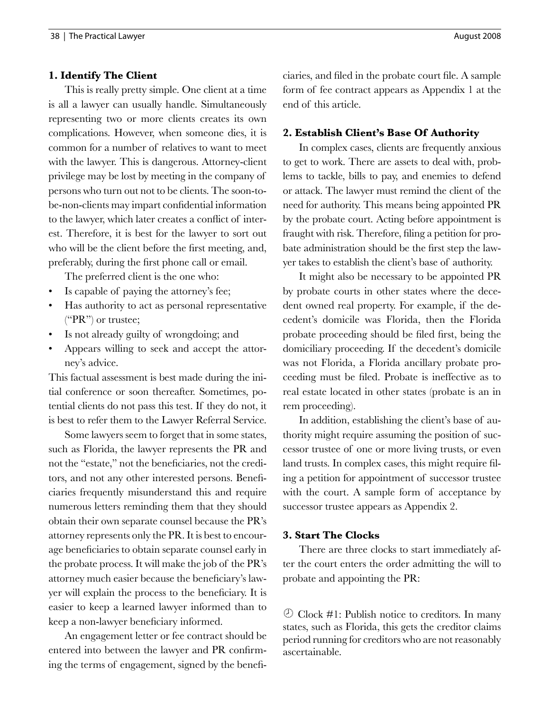#### **1. Identify The Client**

This is really pretty simple. One client at a time is all a lawyer can usually handle. Simultaneously representing two or more clients creates its own complications. However, when someone dies, it is common for a number of relatives to want to meet with the lawyer. This is dangerous. Attorney-client privilege may be lost by meeting in the company of persons who turn out not to be clients. The soon-tobe-non-clients may impart confidential information to the lawyer, which later creates a conflict of interest. Therefore, it is best for the lawyer to sort out who will be the client before the first meeting, and, preferably, during the first phone call or email.

The preferred client is the one who:

- Is capable of paying the attorney's fee;
- Has authority to act as personal representative ("PR") or trustee;
- Is not already guilty of wrongdoing; and
- Appears willing to seek and accept the attorney's advice.

This factual assessment is best made during the initial conference or soon thereafter. Sometimes, potential clients do not pass this test. If they do not, it is best to refer them to the Lawyer Referral Service.

Some lawyers seem to forget that in some states, such as Florida, the lawyer represents the PR and not the "estate," not the beneficiaries, not the creditors, and not any other interested persons. Beneficiaries frequently misunderstand this and require numerous letters reminding them that they should obtain their own separate counsel because the PR's attorney represents only the PR. It is best to encourage beneficiaries to obtain separate counsel early in the probate process. It will make the job of the PR's attorney much easier because the beneficiary's lawyer will explain the process to the beneficiary. It is easier to keep a learned lawyer informed than to keep a non-lawyer beneficiary informed.

An engagement letter or fee contract should be entered into between the lawyer and PR confirming the terms of engagement, signed by the beneficiaries, and filed in the probate court file. A sample form of fee contract appears as Appendix 1 at the end of this article.

#### **2. Establish Client's Base Of Authority**

In complex cases, clients are frequently anxious to get to work. There are assets to deal with, problems to tackle, bills to pay, and enemies to defend or attack. The lawyer must remind the client of the need for authority. This means being appointed PR by the probate court. Acting before appointment is fraught with risk. Therefore, filing a petition for probate administration should be the first step the lawyer takes to establish the client's base of authority.

It might also be necessary to be appointed PR by probate courts in other states where the decedent owned real property. For example, if the decedent's domicile was Florida, then the Florida probate proceeding should be filed first, being the domiciliary proceeding. If the decedent's domicile was not Florida, a Florida ancillary probate proceeding must be filed. Probate is ineffective as to real estate located in other states (probate is an in rem proceeding).

In addition, establishing the client's base of authority might require assuming the position of successor trustee of one or more living trusts, or even land trusts. In complex cases, this might require filing a petition for appointment of successor trustee with the court. A sample form of acceptance by successor trustee appears as Appendix 2.

#### **3. Start The Clocks**

There are three clocks to start immediately after the court enters the order admitting the will to probate and appointing the PR:

 $\circled{C}$  Clock #1: Publish notice to creditors. In many states, such as Florida, this gets the creditor claims period running for creditors who are not reasonably ascertainable.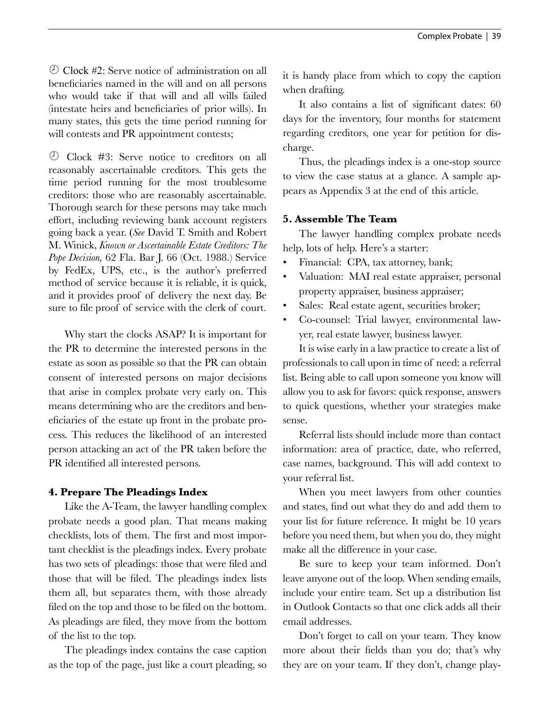Clock #2: Serve notice of administration on all beneficiaries named in the will and on all persons who would take if that will and all wills failed (intestate heirs and beneficiaries of prior wills). In many states, this gets the time period running for will contests and PR appointment contests;

 Clock #3: Serve notice to creditors on all reasonably ascertainable creditors. This gets the time period running for the most troublesome creditors: those who are reasonably ascertainable. Thorough search for these persons may take much effort, including reviewing bank account registers going back a year. (*See* David T. Smith and Robert M. Winick, *Known or Ascertainable Estate Creditors: The Pope Decision,* 62 Fla. Bar J. 66 (Oct. 1988.) Service by FedEx, UPS, etc., is the author's preferred method of service because it is reliable, it is quick, and it provides proof of delivery the next day. Be sure to file proof of service with the clerk of court.

Why start the clocks ASAP? It is important for the PR to determine the interested persons in the estate as soon as possible so that the PR can obtain consent of interested persons on major decisions that arise in complex probate very early on. This means determining who are the creditors and beneficiaries of the estate up front in the probate process. This reduces the likelihood of an interested person attacking an act of the PR taken before the PR identified all interested persons.

## **4. Prepare The Pleadings Index**

Like the A-Team, the lawyer handling complex probate needs a good plan. That means making checklists, lots of them. The first and most important checklist is the pleadings index. Every probate has two sets of pleadings: those that were filed and those that will be filed. The pleadings index lists them all, but separates them, with those already filed on the top and those to be filed on the bottom. As pleadings are filed, they move from the bottom of the list to the top.

The pleadings index contains the case caption as the top of the page, just like a court pleading, so it is handy place from which to copy the caption when drafting.

It also contains a list of significant dates: 60 days for the inventory, four months for statement regarding creditors, one year for petition for discharge.

Thus, the pleadings index is a one-stop source to view the case status at a glance. A sample appears as Appendix 3 at the end of this article.

## **5. Assemble The Team**

The lawyer handling complex probate needs help, lots of help. Here's a starter:

- Financial: CPA, tax attorney, bank;
- Valuation: MAI real estate appraiser, personal property appraiser, business appraiser;
- Sales: Real estate agent, securities broker;
- Co-counsel: Trial lawyer, environmental lawyer, real estate lawyer, business lawyer.

It is wise early in a law practice to create a list of professionals to call upon in time of need: a referral list. Being able to call upon someone you know will allow you to ask for favors: quick response, answers to quick questions, whether your strategies make sense.

Referral lists should include more than contact information: area of practice, date, who referred, case names, background. This will add context to your referral list.

When you meet lawyers from other counties and states, find out what they do and add them to your list for future reference. It might be 10 years before you need them, but when you do, they might make all the difference in your case.

Be sure to keep your team informed. Don't leave anyone out of the loop. When sending emails, include your entire team. Set up a distribution list in Outlook Contacts so that one click adds all their email addresses.

Don't forget to call on your team. They know more about their fields than you do; that's why they are on your team. If they don't, change play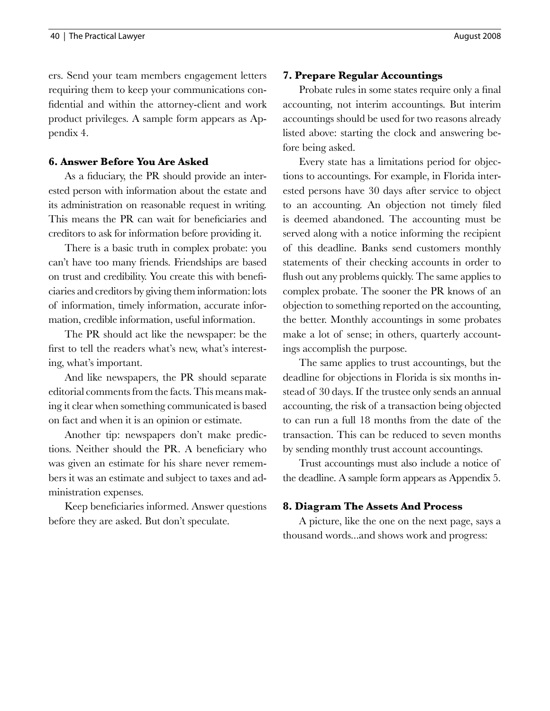ers. Send your team members engagement letters requiring them to keep your communications confidential and within the attorney-client and work product privileges. A sample form appears as Appendix 4.

#### **6. Answer Before You Are Asked**

As a fiduciary, the PR should provide an interested person with information about the estate and its administration on reasonable request in writing. This means the PR can wait for beneficiaries and creditors to ask for information before providing it.

There is a basic truth in complex probate: you can't have too many friends. Friendships are based on trust and credibility. You create this with beneficiaries and creditors by giving them information: lots of information, timely information, accurate information, credible information, useful information.

The PR should act like the newspaper: be the first to tell the readers what's new, what's interesting, what's important.

And like newspapers, the PR should separate editorial comments from the facts. This means making it clear when something communicated is based on fact and when it is an opinion or estimate.

Another tip: newspapers don't make predictions. Neither should the PR. A beneficiary who was given an estimate for his share never remembers it was an estimate and subject to taxes and administration expenses.

Keep beneficiaries informed. Answer questions before they are asked. But don't speculate.

#### **7. Prepare Regular Accountings**

Probate rules in some states require only a final accounting, not interim accountings. But interim accountings should be used for two reasons already listed above: starting the clock and answering before being asked.

Every state has a limitations period for objections to accountings. For example, in Florida interested persons have 30 days after service to object to an accounting. An objection not timely filed is deemed abandoned. The accounting must be served along with a notice informing the recipient of this deadline. Banks send customers monthly statements of their checking accounts in order to flush out any problems quickly. The same applies to complex probate. The sooner the PR knows of an objection to something reported on the accounting, the better. Monthly accountings in some probates make a lot of sense; in others, quarterly accountings accomplish the purpose.

The same applies to trust accountings, but the deadline for objections in Florida is six months instead of 30 days. If the trustee only sends an annual accounting, the risk of a transaction being objected to can run a full 18 months from the date of the transaction. This can be reduced to seven months by sending monthly trust account accountings.

Trust accountings must also include a notice of the deadline. A sample form appears as Appendix 5.

#### **8. Diagram The Assets And Process**

A picture, like the one on the next page, says a thousand words...and shows work and progress: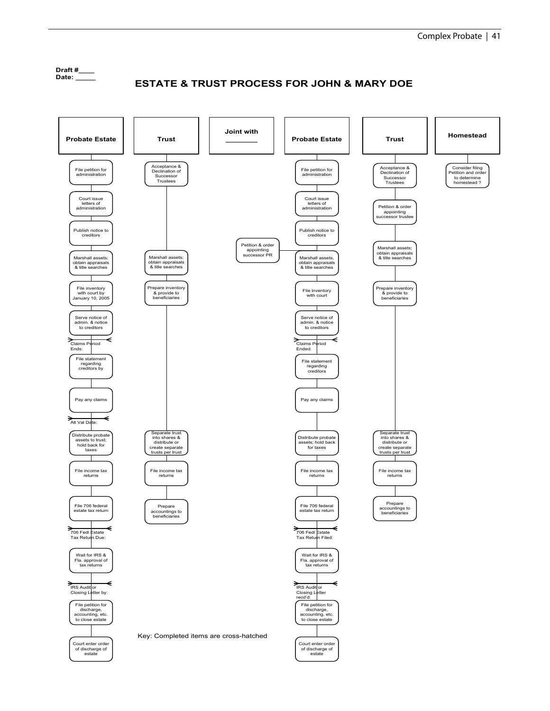

**ESTATE & TRUST PROCESS FOR JOHN & MARY DOE**

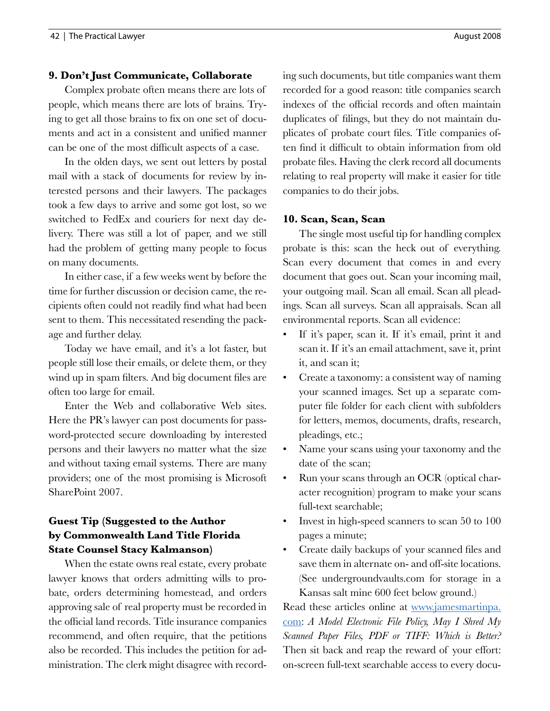### **9. Don't Just Communicate, Collaborate**

Complex probate often means there are lots of people, which means there are lots of brains. Trying to get all those brains to fix on one set of documents and act in a consistent and unified manner can be one of the most difficult aspects of a case.

In the olden days, we sent out letters by postal mail with a stack of documents for review by interested persons and their lawyers. The packages took a few days to arrive and some got lost, so we switched to FedEx and couriers for next day delivery. There was still a lot of paper, and we still had the problem of getting many people to focus on many documents.

In either case, if a few weeks went by before the time for further discussion or decision came, the recipients often could not readily find what had been sent to them. This necessitated resending the package and further delay.

Today we have email, and it's a lot faster, but people still lose their emails, or delete them, or they wind up in spam filters. And big document files are often too large for email.

Enter the Web and collaborative Web sites. Here the PR's lawyer can post documents for password-protected secure downloading by interested persons and their lawyers no matter what the size and without taxing email systems. There are many providers; one of the most promising is Microsoft SharePoint 2007.

# **Guest Tip (Suggested to the Author by Commonwealth Land Title Florida State Counsel Stacy Kalmanson)**

When the estate owns real estate, every probate lawyer knows that orders admitting wills to probate, orders determining homestead, and orders approving sale of real property must be recorded in the official land records. Title insurance companies recommend, and often require, that the petitions also be recorded. This includes the petition for administration. The clerk might disagree with recording such documents, but title companies want them recorded for a good reason: title companies search indexes of the official records and often maintain duplicates of filings, but they do not maintain duplicates of probate court files. Title companies often find it difficult to obtain information from old probate files. Having the clerk record all documents relating to real property will make it easier for title companies to do their jobs.

## **10. Scan, Scan, Scan**

The single most useful tip for handling complex probate is this: scan the heck out of everything. Scan every document that comes in and every document that goes out. Scan your incoming mail, your outgoing mail. Scan all email. Scan all pleadings. Scan all surveys. Scan all appraisals. Scan all environmental reports. Scan all evidence:

- If it's paper, scan it. If it's email, print it and scan it. If it's an email attachment, save it, print it, and scan it;
- Create a taxonomy: a consistent way of naming your scanned images. Set up a separate computer file folder for each client with subfolders for letters, memos, documents, drafts, research, pleadings, etc.;
- Name your scans using your taxonomy and the date of the scan;
- Run your scans through an OCR (optical character recognition) program to make your scans full-text searchable;
- Invest in high-speed scanners to scan 50 to 100 pages a minute;
- Create daily backups of your scanned files and save them in alternate on- and off-site locations. (See undergroundvaults.com for storage in a Kansas salt mine 600 feet below ground.)

Read these articles online at [www.jamesmartinpa.](http://www.jamesmartinpa.com) [com:](http://www.jamesmartinpa.com) *A Model Electronic File Policy, May I Shred My Scanned Paper Files, PDF or TIFF: Which is Better?*  Then sit back and reap the reward of your effort: on-screen full-text searchable access to every docu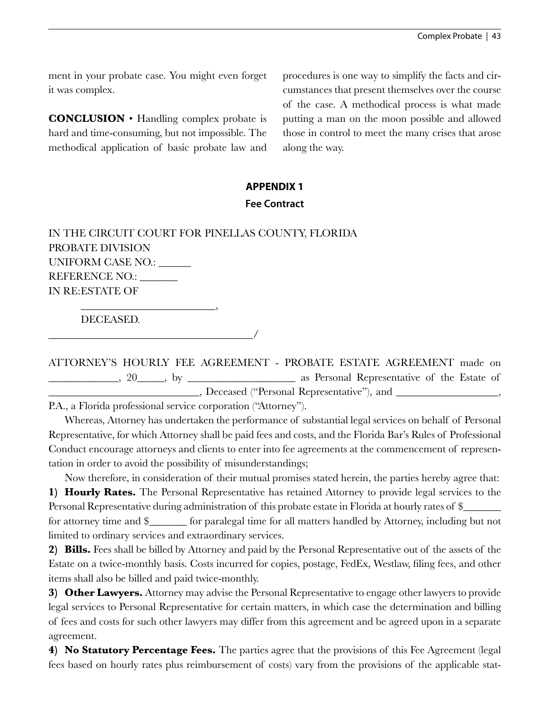ment in your probate case. You might even forget it was complex.

**CONCLUSION** • Handling complex probate is hard and time-consuming, but not impossible. The methodical application of basic probate law and procedures is one way to simplify the facts and circumstances that present themselves over the course of the case. A methodical process is what made putting a man on the moon possible and allowed those in control to meet the many crises that arose along the way.

## **APPENDIX 1 Fee Contract**

IN THE CIRCUIT COURT FOR PINELLAS COUNTY, FLORIDA PROBATE DIVISION UNIFORM CASE NO.: \_\_\_\_\_\_ REFERENCE NO.: IN RE:ESTATE OF \_\_\_\_\_\_\_\_\_\_\_\_\_\_\_\_\_\_\_\_\_\_\_\_\_,

DECEASED.

\_\_\_\_\_\_\_\_\_\_\_\_\_\_\_\_\_\_\_\_\_\_\_\_\_\_\_\_\_\_\_\_\_\_\_\_\_\_/

ATTORNEY'S HOURLY FEE AGREEMENT - PROBATE ESTATE AGREEMENT made on as Personal Representative of the Estate of the Estate of the Estate of \_\_\_\_\_\_\_\_\_\_\_\_\_\_\_\_\_\_\_\_\_\_\_\_\_\_\_\_, Deceased ("Personal Representative"), and \_\_\_\_\_\_\_\_\_\_\_\_\_\_\_\_\_\_\_,

P.A., a Florida professional service corporation ("Attorney").

Whereas, Attorney has undertaken the performance of substantial legal services on behalf of Personal Representative, for which Attorney shall be paid fees and costs, and the Florida Bar's Rules of Professional Conduct encourage attorneys and clients to enter into fee agreements at the commencement of representation in order to avoid the possibility of misunderstandings;

Now therefore, in consideration of their mutual promises stated herein, the parties hereby agree that: **1) Hourly Rates.** The Personal Representative has retained Attorney to provide legal services to the Personal Representative during administration of this probate estate in Florida at hourly rates of \$\_\_\_\_\_\_\_\_\_\_ for attorney time and \$\_\_\_\_\_\_\_ for paralegal time for all matters handled by Attorney, including but not limited to ordinary services and extraordinary services.

**2) Bills.** Fees shall be billed by Attorney and paid by the Personal Representative out of the assets of the Estate on a twice-monthly basis. Costs incurred for copies, postage, FedEx, Westlaw, filing fees, and other items shall also be billed and paid twice-monthly.

**3) Other Lawyers.** Attorney may advise the Personal Representative to engage other lawyers to provide legal services to Personal Representative for certain matters, in which case the determination and billing of fees and costs for such other lawyers may differ from this agreement and be agreed upon in a separate agreement.

**4) No Statutory Percentage Fees.** The parties agree that the provisions of this Fee Agreement (legal fees based on hourly rates plus reimbursement of costs) vary from the provisions of the applicable stat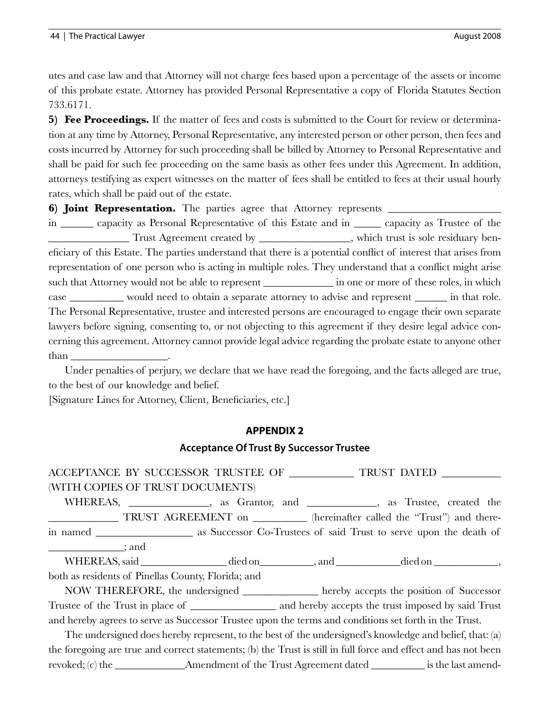utes and case law and that Attorney will not charge fees based upon a percentage of the assets or income of this probate estate. Attorney has provided Personal Representative a copy of Florida Statutes Section 733.6171.

**5)** Fee Proceedings. If the matter of fees and costs is submitted to the Court for review or determination at any time by Attorney, Personal Representative, any interested person or other person, then fees and costs incurred by Attorney for such proceeding shall be billed by Attorney to Personal Representative and shall be paid for such fee proceeding on the same basis as other fees under this Agreement. In addition, attorneys testifying as expert witnesses on the matter of fees shall be entitled to fees at their usual hourly rates, which shall be paid out of the estate.

**6) Joint Representation.** The parties agree that Attorney represents

in \_\_\_\_\_\_ capacity as Personal Representative of this Estate and in \_\_\_\_\_ capacity as Trustee of the Trust Agreement created by \_\_\_\_\_\_\_\_\_\_\_\_\_\_\_, which trust is sole residuary beneficiary of this Estate. The parties understand that there is a potential conflict of interest that arises from representation of one person who is acting in multiple roles. They understand that a conflict might arise such that Attorney would not be able to represent in one or more of these roles, in which case \_\_\_\_\_\_\_\_\_\_ would need to obtain a separate attorney to advise and represent \_\_\_\_\_\_ in that role. The Personal Representative, trustee and interested persons are encouraged to engage their own separate lawyers before signing, consenting to, or not objecting to this agreement if they desire legal advice concerning this agreement. Attorney cannot provide legal advice regarding the probate estate to anyone other than

Under penalties of perjury, we declare that we have read the foregoing, and the facts alleged are true, to the best of our knowledge and belief.

[Signature Lines for Attorney, Client, Beneficiaries, etc.]

## **APPENDIX 2**

## **Acceptance Of Trust By Successor Trustee**

ACCEPTANCE BY SUCCESSOR TRUSTEE OF \_\_\_\_\_\_\_\_\_\_\_\_ TRUST DATED \_\_\_\_\_\_\_\_\_\_\_ (WITH COPIES OF TRUST DOCUMENTS)

WHEREAS, \_\_\_\_\_\_\_\_\_\_\_\_, as Grantor, and \_\_\_\_\_\_\_\_\_\_\_, as Trustee, created the \_\_\_\_\_\_\_\_\_\_\_\_\_ TRUST AGREEMENT on \_\_\_\_\_\_\_\_\_\_ (hereinafter called the "Trust") and therein named \_\_\_\_\_\_\_\_\_\_\_\_\_\_\_\_\_\_ as Successor Co-Trustees of said Trust to serve upon the death of  $\cdot$  and

WHEREAS, said \_\_\_\_\_\_\_\_\_\_\_\_\_\_\_\_ died on\_\_\_\_\_\_\_\_\_\_, and \_\_\_\_\_\_\_\_\_\_\_\_died on \_\_\_\_\_\_\_\_\_\_\_\_,

both as residents of Pinellas County, Florida; and

NOW THEREFORE, the undersigned \_\_\_\_\_\_\_\_\_\_\_\_\_\_ hereby accepts the position of Successor Trustee of the Trust in place of \_\_\_\_\_\_\_\_\_\_\_\_\_\_\_\_ and hereby accepts the trust imposed by said Trust and hereby agrees to serve as Successor Trustee upon the terms and conditions set forth in the Trust.

The undersigned does hereby represent, to the best of the undersigned's knowledge and belief, that: (a) the foregoing are true and correct statements; (b) the Trust is still in full force and effect and has not been revoked; (c) the \_\_\_\_\_\_\_\_\_\_\_\_\_Amendment of the Trust Agreement dated \_\_\_\_\_\_\_\_\_\_ is the last amend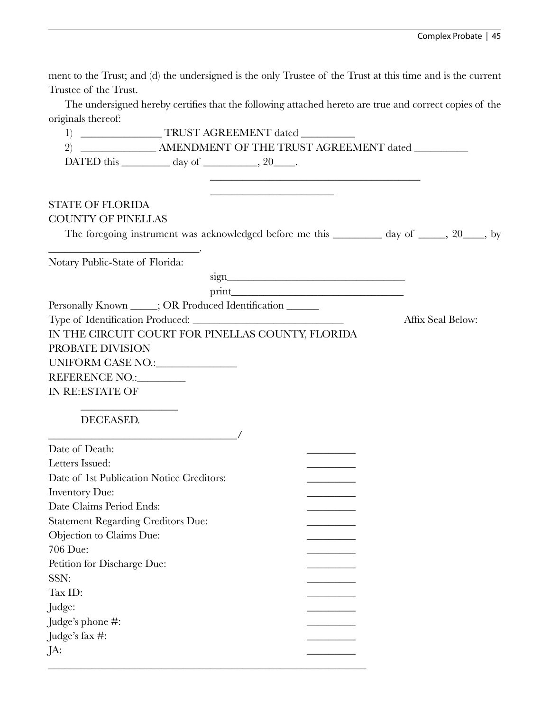ment to the Trust; and (d) the undersigned is the only Trustee of the Trust at this time and is the current Trustee of the Trust.

The undersigned hereby certifies that the following attached hereto are true and correct copies of the originals thereof:

| TRUST AGREEMENT dated<br>1)                                                             |                                                                                                                                                                                                                     |
|-----------------------------------------------------------------------------------------|---------------------------------------------------------------------------------------------------------------------------------------------------------------------------------------------------------------------|
| $\left( 2\right)$                                                                       |                                                                                                                                                                                                                     |
| DATED this $\_\_\_\_\_\_\_\$ day of $\_\_\_\_\_\_\$                                     |                                                                                                                                                                                                                     |
| <b>STATE OF FLORIDA</b><br><b>COUNTY OF PINELLAS</b>                                    | <u> 1989 - Johann Harry Barn, mars ar yn y breninn y breninn y breninn y breninn y breninn y breninn y breninn y</u><br>The foregoing instrument was acknowledged before me this _________ day of _____, 20____, by |
| Notary Public-State of Florida:                                                         |                                                                                                                                                                                                                     |
|                                                                                         |                                                                                                                                                                                                                     |
|                                                                                         |                                                                                                                                                                                                                     |
| Personally Known _____; OR Produced Identification ______                               |                                                                                                                                                                                                                     |
| Affix Seal Below:                                                                       |                                                                                                                                                                                                                     |
| IN THE CIRCUIT COURT FOR PINELLAS COUNTY, FLORIDA                                       |                                                                                                                                                                                                                     |
| PROBATE DIVISION                                                                        |                                                                                                                                                                                                                     |
| UNIFORM CASE NO.:                                                                       |                                                                                                                                                                                                                     |
| REFERENCE NO.:                                                                          |                                                                                                                                                                                                                     |
| IN RE: ESTATE OF                                                                        |                                                                                                                                                                                                                     |
| the control of the control of the control of the control of the control of<br>DECEASED. |                                                                                                                                                                                                                     |
| <u> 1990 - Johann Barbara, martin amerikan basar da</u><br>Date of Death:               |                                                                                                                                                                                                                     |
| Letters Issued:                                                                         |                                                                                                                                                                                                                     |
| Date of 1st Publication Notice Creditors:                                               |                                                                                                                                                                                                                     |
| <b>Inventory Due:</b>                                                                   |                                                                                                                                                                                                                     |
| Date Claims Period Ends:                                                                |                                                                                                                                                                                                                     |
| <b>Statement Regarding Creditors Due:</b>                                               |                                                                                                                                                                                                                     |
| Objection to Claims Due:                                                                |                                                                                                                                                                                                                     |
| 706 Due:                                                                                |                                                                                                                                                                                                                     |
| Petition for Discharge Due:                                                             |                                                                                                                                                                                                                     |
| SSN:                                                                                    |                                                                                                                                                                                                                     |
| Tax ID:                                                                                 |                                                                                                                                                                                                                     |
| Judge:                                                                                  |                                                                                                                                                                                                                     |
| Judge's phone #:                                                                        |                                                                                                                                                                                                                     |
| Judge's fax #:                                                                          |                                                                                                                                                                                                                     |
| JA:                                                                                     |                                                                                                                                                                                                                     |
|                                                                                         |                                                                                                                                                                                                                     |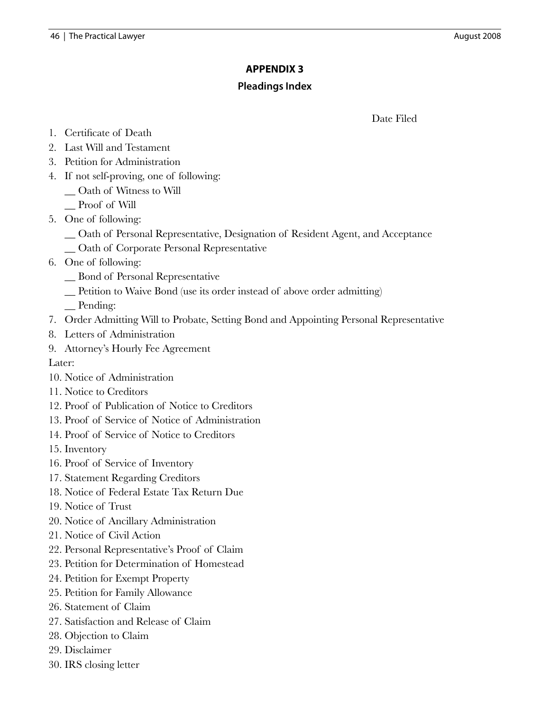# **APPENDIX 3**

# **Pleadings Index**

Date Filed

- 1. Certificate of Death
- 2. Last Will and Testament
- 3. Petition for Administration
- 4. If not self-proving, one of following:
	- \_\_ Oath of Witness to Will
	- \_\_ Proof of Will
- 5. One of following:
	- \_\_ Oath of Personal Representative, Designation of Resident Agent, and Acceptance \_\_ Oath of Corporate Personal Representative
- 6. One of following:
	- \_\_ Bond of Personal Representative
	- \_\_ Petition to Waive Bond (use its order instead of above order admitting)
	- \_\_ Pending:
- 7. Order Admitting Will to Probate, Setting Bond and Appointing Personal Representative
- 8. Letters of Administration
- 9. Attorney's Hourly Fee Agreement

Later:

- 10. Notice of Administration
- 11. Notice to Creditors
- 12. Proof of Publication of Notice to Creditors
- 13. Proof of Service of Notice of Administration
- 14. Proof of Service of Notice to Creditors
- 15. Inventory
- 16. Proof of Service of Inventory
- 17. Statement Regarding Creditors
- 18. Notice of Federal Estate Tax Return Due
- 19. Notice of Trust
- 20. Notice of Ancillary Administration
- 21. Notice of Civil Action
- 22. Personal Representative's Proof of Claim
- 23. Petition for Determination of Homestead
- 24. Petition for Exempt Property
- 25. Petition for Family Allowance
- 26. Statement of Claim
- 27. Satisfaction and Release of Claim
- 28. Objection to Claim
- 29. Disclaimer
- 30. IRS closing letter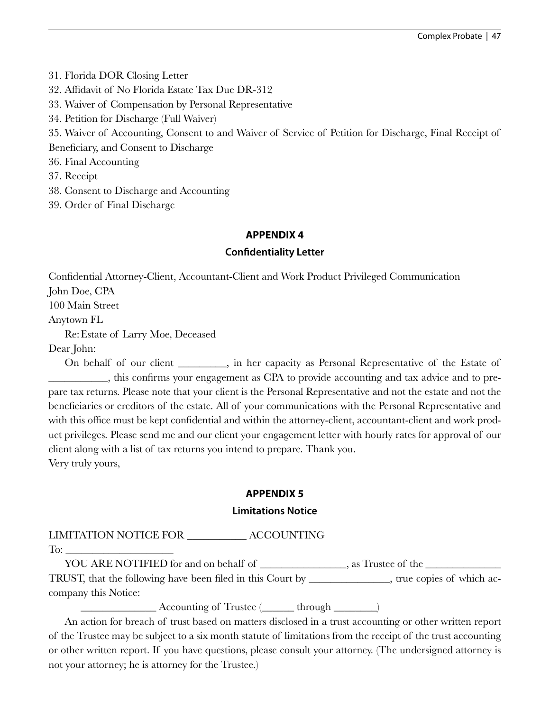- 31. Florida DOR Closing Letter
- 32. Affidavit of No Florida Estate Tax Due DR-312
- 33. Waiver of Compensation by Personal Representative
- 34. Petition for Discharge (Full Waiver)

35. Waiver of Accounting, Consent to and Waiver of Service of Petition for Discharge, Final Receipt of Beneficiary, and Consent to Discharge

36. Final Accounting

- 37. Receipt
- 38. Consent to Discharge and Accounting
- 39. Order of Final Discharge

#### **APPENDIX 4**

#### **Confidentiality Letter**

Confidential Attorney-Client, Accountant-Client and Work Product Privileged Communication John Doe, CPA 100 Main Street

Anytown FL

Re:Estate of Larry Moe, Deceased

Dear John:

On behalf of our client \_\_\_\_\_\_, in her capacity as Personal Representative of the Estate of \_\_\_\_\_\_\_\_\_\_\_, this confirms your engagement as CPA to provide accounting and tax advice and to prepare tax returns. Please note that your client is the Personal Representative and not the estate and not the beneficiaries or creditors of the estate. All of your communications with the Personal Representative and with this office must be kept confidential and within the attorney-client, accountant-client and work product privileges. Please send me and our client your engagement letter with hourly rates for approval of our client along with a list of tax returns you intend to prepare. Thank you. Very truly yours,

#### **APPENDIX 5**

#### **Limitations Notice**

LIMITATION NOTICE FOR \_\_\_\_\_\_\_\_\_\_\_ ACCOUNTING

To:

YOU ARE NOTIFIED for and on behalf of \_\_\_\_\_\_\_\_\_\_\_\_\_, as Trustee of the \_\_\_\_\_\_\_\_\_\_ TRUST, that the following have been filed in this Court by \_\_\_\_\_\_\_\_\_\_\_\_\_\_\_, true copies of which ac-

company this Notice:

\_\_\_\_\_\_\_\_\_\_\_\_\_\_ Accounting of Trustee (\_\_\_\_\_\_ through \_\_\_\_\_\_\_\_)

An action for breach of trust based on matters disclosed in a trust accounting or other written report of the Trustee may be subject to a six month statute of limitations from the receipt of the trust accounting or other written report. If you have questions, please consult your attorney. (The undersigned attorney is not your attorney; he is attorney for the Trustee.)